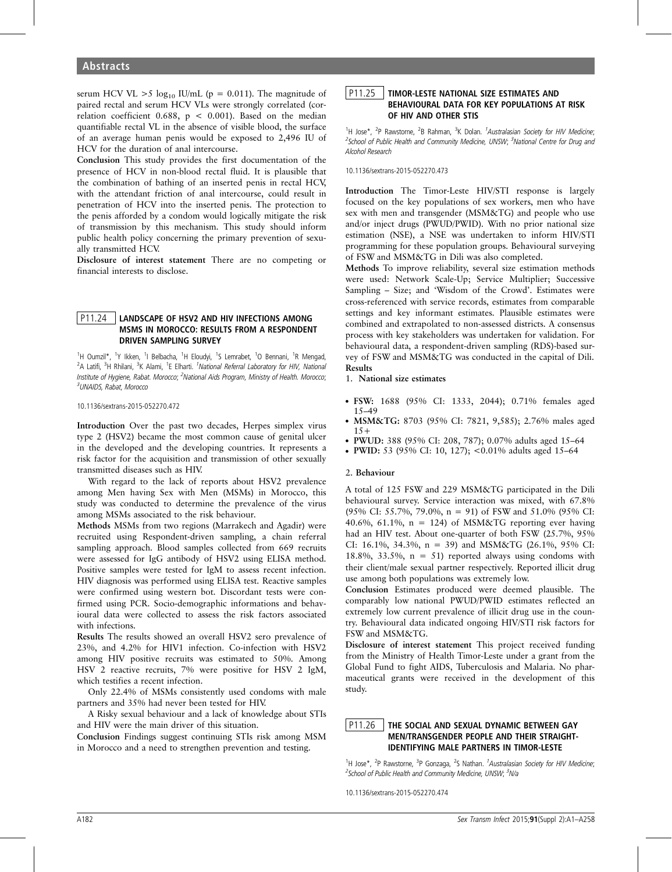serum HCV VL  $>5 \log_{10}$  IU/mL (p = 0.011). The magnitude of paired rectal and serum HCV VLs were strongly correlated (correlation coefficient 0.688,  $p < 0.001$ ). Based on the median quantifiable rectal VL in the absence of visible blood, the surface of an average human penis would be exposed to 2,496 IU of HCV for the duration of anal intercourse.

Conclusion This study provides the first documentation of the presence of HCV in non-blood rectal fluid. It is plausible that the combination of bathing of an inserted penis in rectal HCV, with the attendant friction of anal intercourse, could result in penetration of HCV into the inserted penis. The protection to the penis afforded by a condom would logically mitigate the risk of transmission by this mechanism. This study should inform public health policy concerning the primary prevention of sexually transmitted HCV.

Disclosure of interest statement There are no competing or financial interests to disclose.

## P11.24 | LANDSCAPE OF HSV2 AND HIV INFECTIONS AMONG MSMS IN MOROCCO: RESULTS FROM A RESPONDENT DRIVEN SAMPLING SURVEY

<sup>1</sup>H Oumzil\*, <sup>1</sup>Y Ikken, <sup>1</sup>I Belbacha, <sup>1</sup>H Eloudyi, <sup>1</sup>S Lemrabet, <sup>1</sup>O Bennani, <sup>1</sup>R Mengad, <sup>2</sup>A Latifi, <sup>3</sup>H Rhilani, <sup>3</sup>K Alami, <sup>1</sup>E Elharti. <sup>1</sup>National Referral Laboratory for HIV, National Institute of Hygiene, Rabat. Morocco; <sup>2</sup>National Aids Program, Ministry of Health. Morocco; <sup>3</sup>UNAIDS, Rabat, Morocco

10.1136/sextrans-2015-052270.472

Introduction Over the past two decades, Herpes simplex virus type 2 (HSV2) became the most common cause of genital ulcer in the developed and the developing countries. It represents a risk factor for the acquisition and transmission of other sexually transmitted diseases such as HIV.

With regard to the lack of reports about HSV2 prevalence among Men having Sex with Men (MSMs) in Morocco, this study was conducted to determine the prevalence of the virus among MSMs associated to the risk behaviour.

Methods MSMs from two regions (Marrakech and Agadir) were recruited using Respondent-driven sampling, a chain referral sampling approach. Blood samples collected from 669 recruits were assessed for IgG antibody of HSV2 using ELISA method. Positive samples were tested for IgM to assess recent infection. HIV diagnosis was performed using ELISA test. Reactive samples were confirmed using western bot. Discordant tests were confirmed using PCR. Socio-demographic informations and behavioural data were collected to assess the risk factors associated with infections.

Results The results showed an overall HSV2 sero prevalence of 23%, and 4.2% for HIV1 infection. Co-infection with HSV2 among HIV positive recruits was estimated to 50%. Among HSV 2 reactive recruits, 7% were positive for HSV 2 IgM, which testifies a recent infection.

Only 22.4% of MSMs consistently used condoms with male partners and 35% had never been tested for HIV.

A Risky sexual behaviour and a lack of knowledge about STIs and HIV were the main driver of this situation.

Conclusion Findings suggest continuing STIs risk among MSM in Morocco and a need to strengthen prevention and testing.

## P11.25 TIMOR-LESTE NATIONAL SIZE ESTIMATES AND BEHAVIOURAL DATA FOR KEY POPULATIONS AT RISK OF HIV AND OTHER STIS

<sup>1</sup>H Jose\*, <sup>2</sup>P Rawstorne, <sup>2</sup>B Rahman, <sup>3</sup>K Dolan. <sup>1</sup>Australasian Society for HIV Medicine; <sup>2</sup>School of Public Health and Community Medicine, UNSW; <sup>3</sup>National Centre for Drug and Alcohol Research

10.1136/sextrans-2015-052270.473

Introduction The Timor-Leste HIV/STI response is largely focused on the key populations of sex workers, men who have sex with men and transgender (MSM&TG) and people who use and/or inject drugs (PWUD/PWID). With no prior national size estimation (NSE), a NSE was undertaken to inform HIV/STI programming for these population groups. Behavioural surveying of FSW and MSM&TG in Dili was also completed.

Methods To improve reliability, several size estimation methods were used: Network Scale-Up; Service Multiplier; Successive Sampling – Size; and 'Wisdom of the Crowd'. Estimates were cross-referenced with service records, estimates from comparable settings and key informant estimates. Plausible estimates were combined and extrapolated to non-assessed districts. A consensus process with key stakeholders was undertaken for validation. For behavioural data, a respondent-driven sampling (RDS)-based survey of FSW and MSM&TG was conducted in the capital of Dili. Results

1. National size estimates

- . FSW: 1688 (95% CI: 1333, 2044); 0.71% females aged 15–49
- . MSM&TG: 8703 (95% CI: 7821, 9,585); 2.76% males aged  $15+$
- . PWUD: 388 (95% CI: 208, 787); 0.07% adults aged 15–64
- . PWID: 53 (95% CI: 10, 127); <0.01% adults aged 15–64

#### 2. Behaviour

A total of 125 FSW and 229 MSM&TG participated in the Dili behavioural survey. Service interaction was mixed, with 67.8% (95% CI: 55.7%, 79.0%, n = 91) of FSW and 51.0% (95% CI: 40.6%, 61.1%,  $n = 124$ ) of MSM&TG reporting ever having had an HIV test. About one-quarter of both FSW (25.7%, 95% CI: 16.1%, 34.3%, n = 39) and MSM&TG (26.1%, 95% CI: 18.8%, 33.5%,  $n = 51$ ) reported always using condoms with their client/male sexual partner respectively. Reported illicit drug use among both populations was extremely low.

Conclusion Estimates produced were deemed plausible. The comparably low national PWUD/PWID estimates reflected an extremely low current prevalence of illicit drug use in the country. Behavioural data indicated ongoing HIV/STI risk factors for FSW and MSM&TG.

Disclosure of interest statement This project received funding from the Ministry of Health Timor-Leste under a grant from the Global Fund to fight AIDS, Tuberculosis and Malaria. No pharmaceutical grants were received in the development of this study.

# P11.26 THE SOCIAL AND SEXUAL DYNAMIC BETWEEN GAY MEN/TRANSGENDER PEOPLE AND THEIR STRAIGHT-IDENTIFYING MALE PARTNERS IN TIMOR-LESTE

<sup>1</sup>H Jose\*, <sup>2</sup>P Rawstorne, <sup>3</sup>P Gonzaga, <sup>2</sup>S Nathan. <sup>1</sup>Australasian Society for HIV Medicine; <sup>2</sup>School of Public Health and Community Medicine, UNSW; <sup>3</sup>N/a

10.1136/sextrans-2015-052270.474